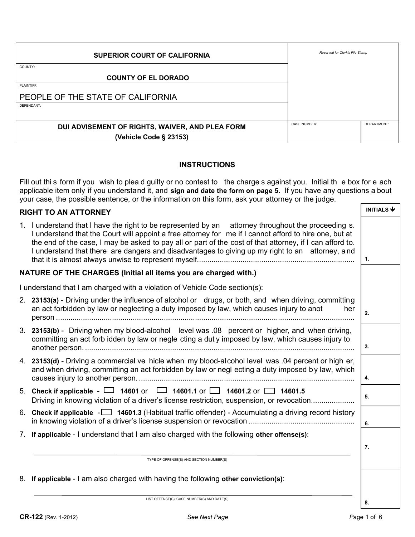| <b>SUPERIOR COURT OF CALIFORNIA</b>             | Reserved for Clerk's File Stamp |             |
|-------------------------------------------------|---------------------------------|-------------|
| COUNTY:                                         |                                 |             |
| <b>COUNTY OF EL DORADO</b>                      |                                 |             |
| PLAINTIFF:                                      |                                 |             |
| PEOPLE OF THE STATE OF CALIFORNIA               |                                 |             |
| DEFENDANT:                                      |                                 |             |
|                                                 |                                 |             |
| DUI ADVISEMENT OF RIGHTS, WAIVER, AND PLEA FORM | <b>CASE NUMBER:</b>             | DEPARTMENT: |
| (Vehicle Code § 23153)                          |                                 |             |

### **INSTRUCTIONS**

Fill out thi s form if you wish to plea d guilty or no contest to the charge s against you. Initial the box for e ach applicable item only if you understand it, and **sign and date the form on page 5**. If you have any questions a bout your case, the possible sentence, or the information on this form, ask your attorney or the judge.

| <b>RIGHT TO AN ATTORNEY</b>                                                                                                                                                                                                                                                                                                                                                                                                  | <b>INITIALS <math>\blacklozenge</math></b> |
|------------------------------------------------------------------------------------------------------------------------------------------------------------------------------------------------------------------------------------------------------------------------------------------------------------------------------------------------------------------------------------------------------------------------------|--------------------------------------------|
| 1. I understand that I have the right to be represented by an attorney throughout the proceeding s.<br>I understand that the Court will appoint a free attorney for me if I cannot afford to hire one, but at<br>the end of the case, I may be asked to pay all or part of the cost of that attorney, if I can afford to.<br>I understand that there are dangers and disadvantages to giving up my right to an attorney, and | 1.                                         |
| NATURE OF THE CHARGES (Initial all items you are charged with.)                                                                                                                                                                                                                                                                                                                                                              |                                            |
| I understand that I am charged with a violation of Vehicle Code section(s):                                                                                                                                                                                                                                                                                                                                                  |                                            |
| 2. 23153(a) - Driving under the influence of alcohol or drugs, or both, and when driving, committing<br>an act forbidden by law or neglecting a duty imposed by law, which causes injury to anot<br>her                                                                                                                                                                                                                      | 2.                                         |
| 3. 23153(b) - Driving when my blood-alcohol level was 0.08 percent or higher, and when driving,<br>committing an act forb idden by law or negle cting a dut y imposed by law, which causes injury to                                                                                                                                                                                                                         | 3.                                         |
| 4. 23153(d) - Driving a commercial ve hicle when my blood-alcohol level was .04 percent or high er,<br>and when driving, committing an act forbidden by law or negl ecting a duty imposed by law, which                                                                                                                                                                                                                      | 4.                                         |
| 5. Check if applicable - $\Box$ 14601 or $\Box$ 14601.1 or $\Box$ 14601.2 or $\Box$ 14601.5<br>Driving in knowing violation of a driver's license restriction, suspension, or revocation                                                                                                                                                                                                                                     | 5.                                         |
| 6. Check if applicable $\sim$ 14601.3 (Habitual traffic offender) - Accumulating a driving record history                                                                                                                                                                                                                                                                                                                    | 6.                                         |
| 7. If applicable - I understand that I am also charged with the following other offense(s):                                                                                                                                                                                                                                                                                                                                  |                                            |
|                                                                                                                                                                                                                                                                                                                                                                                                                              | 7.                                         |
| TYPE OF OFFENSE(S) AND SECTION NUMBER(S)                                                                                                                                                                                                                                                                                                                                                                                     |                                            |
| 8. If applicable - I am also charged with having the following other conviction(s):                                                                                                                                                                                                                                                                                                                                          |                                            |

LIST OFFENSE(S), CASE NUMBER(S) AND DATE(S)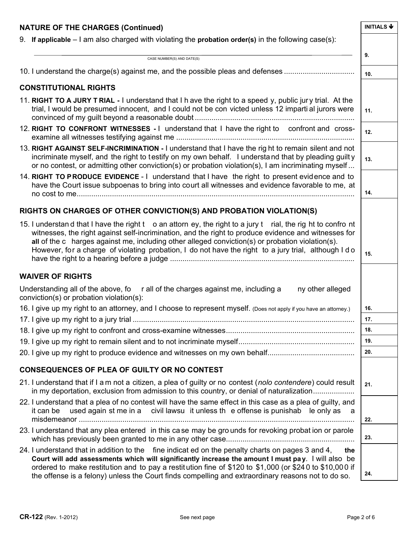| <b>NATURE OF THE CHARGES (Continued)</b>                                                                                                                                                                                                                                                                                                                                                                                          | <b>INITIALS <math>\blacklozenge</math></b> |
|-----------------------------------------------------------------------------------------------------------------------------------------------------------------------------------------------------------------------------------------------------------------------------------------------------------------------------------------------------------------------------------------------------------------------------------|--------------------------------------------|
| 9. If applicable $-1$ am also charged with violating the probation order(s) in the following case(s):                                                                                                                                                                                                                                                                                                                             |                                            |
|                                                                                                                                                                                                                                                                                                                                                                                                                                   | 9.                                         |
| CASE NUMBER(S) AND DATE(S)                                                                                                                                                                                                                                                                                                                                                                                                        |                                            |
| 10. I understand the charge(s) against me, and the possible pleas and defenses                                                                                                                                                                                                                                                                                                                                                    | 10.                                        |
| <b>CONSTITUTIONAL RIGHTS</b>                                                                                                                                                                                                                                                                                                                                                                                                      |                                            |
| 11. RIGHT TO A JURY T RIAL - I understand that I h ave the right to a speed y, public jury trial. At the<br>trial, I would be presumed innocent, and I could not be con victed unless 12 imparti al jurors were                                                                                                                                                                                                                   | 11.                                        |
| 12. RIGHT TO CONFRONT WITNESSES - I understand that I have the right to confront and cross-                                                                                                                                                                                                                                                                                                                                       | 12.                                        |
| 13. RIGHT AGAINST SELF-INCRIMINATION - I understand that I have the right to remain silent and not<br>incriminate myself, and the right to testify on my own behalf. I understand that by pleading quilty<br>or no contest, or admitting other conviction(s) or probation violation(s), I am incriminating myself                                                                                                                 | 13.                                        |
| 14. RIGHT TO PRODUCE EVIDENCE - I understand that I have the right to present evidence and to<br>have the Court issue subpoenas to bring into court all witnesses and evidence favorable to me, at                                                                                                                                                                                                                                | 14.                                        |
| RIGHTS ON CHARGES OF OTHER CONVICTION(S) AND PROBATION VIOLATION(S)                                                                                                                                                                                                                                                                                                                                                               |                                            |
| 15. I understan d that I have the right t o an attorn ey, the right to a jury t rial, the rig ht to confro nt<br>witnesses, the right against self-incrimination, and the right to produce evidence and witnesses for<br>all of the c harges against me, including other alleged conviction(s) or probation violation(s).<br>However, for a charge of violating probation, I do not have the right to a jury trial, although I do | 15.                                        |
| <b>WAIVER OF RIGHTS</b>                                                                                                                                                                                                                                                                                                                                                                                                           |                                            |
| Understanding all of the above, fo rall of the charges against me, including a<br>conviction(s) or probation violation(s):                                                                                                                                                                                                                                                                                                        | ny other alleged                           |
| 16. I give up my right to an attorney, and I choose to represent myself. (Does not apply if you have an attorney.)                                                                                                                                                                                                                                                                                                                | 16.                                        |
|                                                                                                                                                                                                                                                                                                                                                                                                                                   | 17.                                        |
|                                                                                                                                                                                                                                                                                                                                                                                                                                   | 18.                                        |
|                                                                                                                                                                                                                                                                                                                                                                                                                                   | 19.                                        |
|                                                                                                                                                                                                                                                                                                                                                                                                                                   | 20.                                        |
| <b>CONSEQUENCES OF PLEA OF GUILTY OR NO CONTEST</b>                                                                                                                                                                                                                                                                                                                                                                               |                                            |
| 21. I understand that if I am not a citizen, a plea of guilty or no contest (nolo contendere) could result<br>in my deportation, exclusion from admission to this country, or denial of naturalization                                                                                                                                                                                                                            | 21.                                        |
| 22. I understand that a plea of no contest will have the same effect in this case as a plea of guilty, and<br>used again st me in a civil lawsu it unless the offense is punishab le only as a<br>it can be                                                                                                                                                                                                                       | 22.                                        |
| 23. I understand that any plea entered in this case may be grounds for revoking probation or parole                                                                                                                                                                                                                                                                                                                               | 23.                                        |
| 24. I understand that in addition to the fine indicat ed on the penalty charts on pages 3 and 4,<br>Court will add assessments which will significantly increase the amount I must pay. I will also be<br>ordered to make restitution and to pay a restitution fine of \$120 to \$1,000 (or \$240 to \$10,000 if<br>the offense is a felony) unless the Court finds compelling and extraordinary reasons not to do so.            | the<br>24.                                 |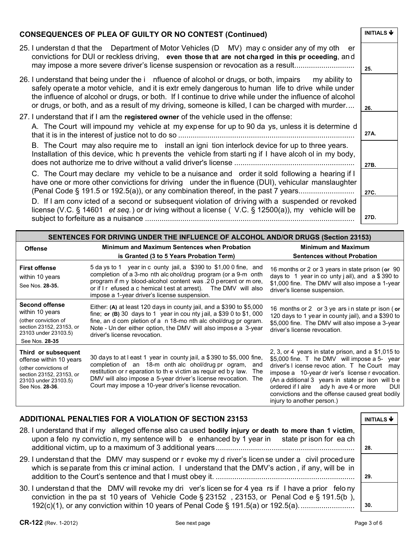| <b>CONSEQUENCES OF PLEA OF GUILTY OR NO CONTEST (Continued)</b>                                                                                                                                                                                                                                                                                                                                                           | <b>INITIALS <math>\blacklozenge</math></b> |
|---------------------------------------------------------------------------------------------------------------------------------------------------------------------------------------------------------------------------------------------------------------------------------------------------------------------------------------------------------------------------------------------------------------------------|--------------------------------------------|
| 25. I understan d that the Department of Motor Vehicles (D MV) may c onsider any of my oth er<br>convictions for DUI or reckless driving, even those that are not charged in this pr oceeding, and<br>may impose a more severe driver's license suspension or revocation as a result                                                                                                                                      | 25.                                        |
| 26. I understand that being under the i nfluence of alcohol or drugs, or both, impairs my ability to<br>safely operate a motor vehicle, and it is extr emely dangerous to human life to drive while under<br>the influence of alcohol or drugs, or both. If I continue to drive while under the influence of alcohol<br>or drugs, or both, and as a result of my driving, someone is killed, I can be charged with murder | 26.                                        |
| 27. I understand that if I am the registered owner of the vehicle used in the offense:                                                                                                                                                                                                                                                                                                                                    |                                            |
| A. The Court will impound my vehicle at my expense for up to 90 da ys, unless it is determine d                                                                                                                                                                                                                                                                                                                           | 27A.                                       |
| B. The Court may also require me to install an igni tion interlock device for up to three years.<br>Installation of this device, whic h prevents the vehicle from starting if I have alcohol in my body,                                                                                                                                                                                                                  | 27B.                                       |
| C. The Court may declare my vehicle to be a nuisance and order it sold following a hearing if I<br>have one or more other convictions for driving under the influence (DUI), vehicular manslaughter<br>(Penal Code § 191.5 or 192.5(a)), or any combination thereof, in the past 7 years                                                                                                                                  | 27C.                                       |
| D. If I am convicted of a second or subsequent violation of driving with a suspended or revoked<br>license (V.C. § 14601 <i>et seq.</i> ) or dr iving without a license (V.C. § 12500(a)), my vehicle will be                                                                                                                                                                                                             | 27D.                                       |

| SENTENCES FOR DRIVING UNDER THE INFLUENCE OF ALCOHOL AND/OR DRUGS (Section 23153)                                                              |                                                                                                                                                                                                                                                                                                                                            |                                                                                                                                                                                                                                                                                                                                                                                                       |
|------------------------------------------------------------------------------------------------------------------------------------------------|--------------------------------------------------------------------------------------------------------------------------------------------------------------------------------------------------------------------------------------------------------------------------------------------------------------------------------------------|-------------------------------------------------------------------------------------------------------------------------------------------------------------------------------------------------------------------------------------------------------------------------------------------------------------------------------------------------------------------------------------------------------|
| <b>Offense</b>                                                                                                                                 | <b>Minimum and Maximum Sentences when Probation</b><br>is Granted (3 to 5 Years Probation Term)                                                                                                                                                                                                                                            | <b>Minimum and Maximum</b><br><b>Sentences without Probation</b>                                                                                                                                                                                                                                                                                                                                      |
| <b>First offense</b><br>within 10 years<br>See Nos. 28-35.                                                                                     | 5 da ys to 1 year in c ounty jail, a \$390 to \$1,00 0 fine, and<br>completion of a 3-mo nth alcohol/drug program (or a 9-m onth<br>program if m y blood-alcohol content was .20 percent or m ore,<br>or if I r efused a c hemical test at arrest). The DMV will also<br>impose a 1-year driver's license suspension.                      | 16 months or 2 or 3 years in state prison (or 90<br>days to 1 year in co unty j ail), and $a $390$ to<br>\$1,000 fine. The DMV will also impose a 1-year<br>driver's license suspension.                                                                                                                                                                                                              |
| <b>Second offense</b><br>within 10 years<br>(other conviction of<br>section 23152, 23153, or<br>23103 under 23103.5)<br>See Nos. 28-35         | Either: (A) at least 120 days in county jail, and a \$390 to \$5,000<br>fine; or (B) 30 days to 1 year in county jail, a \$39 0 to \$1, 000<br>fine, an d com pletion of a n 18-mo nth alc ohol/drug pr ogram.<br>Note - Un der either option, the DMV will also impose a 3-year<br>driver's license revocation.                           | 16 months or 2 or 3 ye ars in state pr ison (or<br>120 days to 1 year in county jail), and a \$390 to<br>\$5,000 fine. The DMV will also impose a 3-year<br>driver's license revocation.                                                                                                                                                                                                              |
| Third or subsequent<br>offense within 10 years<br>(other convictions of<br>section 23152, 23153, or<br>23103 under 23103.5)<br>See Nos. 28-36. | 30 days to at I east 1 year in county jail, a \$390 to \$5,000 fine,<br>completion of an 18-m onth alc ohol/drug pr ogram,<br>and<br>restitution or r eparation to th e victim as requir ed by law.<br>The<br>DMV will also impose a 5-year driver's license revocation.<br>The<br>Court may impose a 10-year driver's license revocation. | 2, 3, or 4 years in state prison, and a $$1,015$ to<br>\$5,000 fine. T he DMV will impose a 5-year<br>driver's I icense revoc ation. T he Court<br>mav<br>impose a 10-year dr iver's license r evocation.<br>(An a dditional 3 years in state pr ison will be<br>ordered if I alre ady h ave 4 or more<br><b>DUI</b><br>convictions and the offense caused great bodily<br>injury to another person.) |

# **ADDITIONAL PENALTIES FOR A VIOLATION OF SECTION 23153**

| 28. I understand that if my alleged offense also caused bodily injury or death to more than 1 victim,<br>upon a felo ny convictio n, my sentence will b e enhanced by 1 year in state pr ison for ea ch                                                                                           | 28. |
|---------------------------------------------------------------------------------------------------------------------------------------------------------------------------------------------------------------------------------------------------------------------------------------------------|-----|
| 29. I understand that the DMV may suspend or r evoke my d river's license under a civil procedure<br>which is separate from this criminal action. I understand that the DMV's action, if any, will be in                                                                                          | 29. |
| 30. I understan d that the DMV will revoke my dri ver's licen se for 4 yea rs if I have a prior felo ny<br>conviction in the pa st 10 years of Vehicle Code $\S$ 23152, 23153, or Penal Cod e $\S$ 191.5(b),<br>192(c)(1), or any conviction within 10 years of Penal Code § 191.5(a) or 192.5(a) | 30. |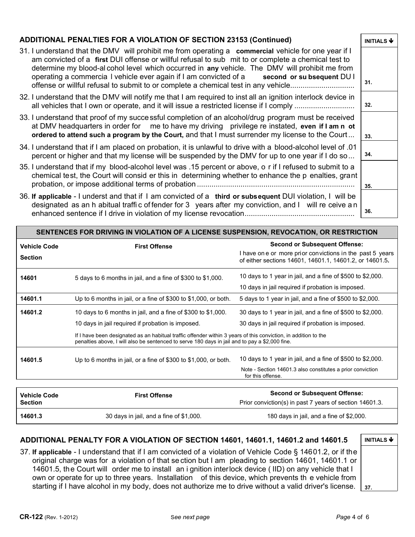### **ADDITIONAL PENALTIES FOR A VIOLATION OF SECTION 23153 (Continued) INITIALS ♦** 31. I understand that the DMV will prohibit me from operating a **commercial** vehicle for one year if I am convicted of a **first** DUI offense or willful refusal to sub mit to or complete a chemical test to determine my blood-al cohol level which occurred in **any** vehicle. The DMV will prohibit me from operating a commercia l vehicle ever again if I am convicted of a **second or su bsequent** DU I offense or willful refusal to submit to or complete a chemical test in any vehicle............................... **31.**  32. I understand that the DMV will notify me that I am required to inst all an ignition interlock device in all vehicles that I own or operate, and it will issue a restricted license if I comply ............................. **32.**  33. I understand that proof of my successful completion of an alcohol/drug program must be received at DMV headquarters in order for me to have my driving privilege re instated, **even if I am n ot ordered to attend such a program by the Court,** and that I must surrender my license to the Court ...  $\int_{33}$ 34. I understand that if I am placed on probation, it is unlawful to drive with a blood-alcohol level of .01 percent or higher and that my license will be suspended by the DMV for up to one year if I do so... <sup>34.</sup> 35. I understand that if my blood-alcohol level was .15 percent or above, o r if I refused to submit to a chemical test, the Court will consid er this in determining whether to enhance the p enalties, grant probation, or impose additional terms of probation ............................................................................ **35.**  36. **If applicable** - I underst and that if I am convicted of a **third or subsequent** DUI violation, I will be designated as an h abitual traffic of fender for 3 years after my conviction, and I will re ceive an enhanced sentence if I drive in violation of my license revocation..................................................... **36. SENTENCES FOR DRIVING IN VIOLATION OF A LICENSE SUSPENSION, REVOCATION, OR RESTRICTION Vehicle Code Section First Offense Second or Subsequent Offense:** I have on e or more prior convictions in the past 5 years of either sections 14601, 14601.1, 14601.2, or 14601.5**.**

| 5 days to 6 months in jail, and a fine of \$300 to \$1,000.<br>Up to 6 months in jail, or a fine of \$300 to \$1,000, or both.<br>10 days to 6 months in jail, and a fine of \$300 to \$1,000.<br>10 days in jail required if probation is imposed. | 10 days to 1 year in jail, and a fine of \$500 to \$2,000.<br>10 days in jail required if probation is imposed.<br>5 days to 1 year in jail, and a fine of \$500 to \$2,000.<br>30 days to 1 year in jail, and a fine of \$500 to \$2,000. |
|-----------------------------------------------------------------------------------------------------------------------------------------------------------------------------------------------------------------------------------------------------|--------------------------------------------------------------------------------------------------------------------------------------------------------------------------------------------------------------------------------------------|
|                                                                                                                                                                                                                                                     |                                                                                                                                                                                                                                            |
|                                                                                                                                                                                                                                                     |                                                                                                                                                                                                                                            |
|                                                                                                                                                                                                                                                     |                                                                                                                                                                                                                                            |
|                                                                                                                                                                                                                                                     |                                                                                                                                                                                                                                            |
|                                                                                                                                                                                                                                                     | 30 days in jail required if probation is imposed.                                                                                                                                                                                          |
| If I have been designated as an habitual traffic offender within 3 years of this conviction, in addition to the<br>penalties above. I will also be sentenced to serve 180 days in jail and to pay a \$2,000 fine.                                   |                                                                                                                                                                                                                                            |
| Up to 6 months in jail, or a fine of \$300 to \$1,000, or both.                                                                                                                                                                                     | 10 days to 1 year in jail, and a fine of \$500 to \$2,000.                                                                                                                                                                                 |
|                                                                                                                                                                                                                                                     | Note - Section 14601.3 also constitutes a prior conviction<br>for this offense.                                                                                                                                                            |
|                                                                                                                                                                                                                                                     |                                                                                                                                                                                                                                            |

| <b>Vehicle Code</b><br><b>Section</b> | <b>First Offense</b>                    | <b>Second or Subsequent Offense:</b><br>Prior conviction(s) in past 7 years of section 14601.3. |
|---------------------------------------|-----------------------------------------|-------------------------------------------------------------------------------------------------|
| 14601.3                               | 30 days in jail, and a fine of \$1,000. | 180 days in jail, and a fine of \$2,000.                                                        |

## **ADDITIONAL PENALTY FOR A VIOLATION OF SECTION 14601, 14601.1, 14601.2 and 14601.5 | INITIALS ♦**

37. **If applicable** - I understand that if I am convicted of a violation of Vehicle Code § 14601.2, or if the original charge was for a violation of that se ction but I am pleading to section 14601, 14601.1 or 14601.5, the Court will order me to install an i gnition interlock device ( IID) on any vehicle that I own or operate for up to three years. Installation of this device, which prevents th e vehicle from starting if I have alcohol in my body, does not authorize me to drive without a valid driver's license. <sup>37</sup>.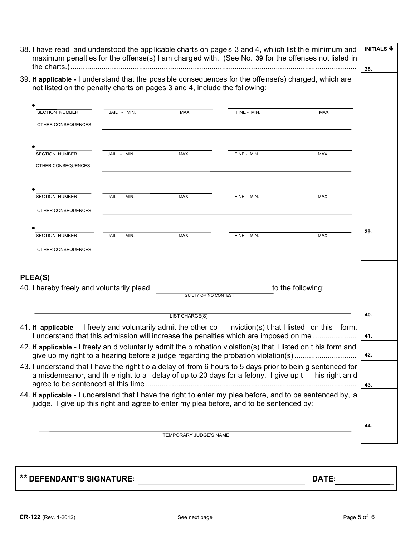| not listed on the penalty charts on pages 3 and 4, include the following:                               |             |                             | 39. If applicable - I understand that the possible consequences for the offense(s) charged, which are                                                                                                |                   |     |
|---------------------------------------------------------------------------------------------------------|-------------|-----------------------------|------------------------------------------------------------------------------------------------------------------------------------------------------------------------------------------------------|-------------------|-----|
| <b>SECTION NUMBER</b>                                                                                   | JAIL - MIN. | MAX.                        | FINE - MIN.                                                                                                                                                                                          | MAX.              |     |
| OTHER CONSEQUENCES :                                                                                    |             |                             | <u> 1989 - John Stein, september 1989 - John Stein, september 1989 - John Stein, september 1989 - John Stein, sep</u>                                                                                |                   |     |
| <b>SECTION NUMBER</b><br>OTHER CONSEQUENCES :                                                           | JAIL - MIN. | MAX.                        | FINE - MIN.                                                                                                                                                                                          | MAX.              |     |
|                                                                                                         | JAIL - MIN. |                             |                                                                                                                                                                                                      |                   |     |
| <b>SECTION NUMBER</b><br>OTHER CONSEQUENCES :                                                           |             | MAX.                        | FINE - MIN.                                                                                                                                                                                          | MAX.              |     |
| <b>SECTION NUMBER</b>                                                                                   | JAIL - MIN. | MAX.                        | FINE - MIN.                                                                                                                                                                                          | MAX.              | 39. |
| OTHER CONSEQUENCES :                                                                                    |             |                             |                                                                                                                                                                                                      |                   |     |
| PLEA(S)<br>40. I hereby freely and voluntarily plead                                                    |             | <b>GUILTY OR NO CONTEST</b> |                                                                                                                                                                                                      | to the following: |     |
|                                                                                                         |             | LIST CHARGE(S)              |                                                                                                                                                                                                      |                   | 40. |
|                                                                                                         |             |                             |                                                                                                                                                                                                      |                   |     |
|                                                                                                         |             |                             | I understand that this admission will increase the penalties which are imposed on me                                                                                                                 |                   | 41. |
|                                                                                                         |             |                             | 42. If applicable - I freely an d voluntarily admit the p robation violation(s) that I listed on t his form and<br>give up my right to a hearing before a judge regarding the probation violation(s) |                   | 42. |
|                                                                                                         |             |                             | 43. I understand that I have the right to a delay of from 6 hours to 5 days prior to bein g sentenced for<br>a misdemeanor, and the right to a delay of up to 20 days for a felony. I give up t      | his right an d    | 43. |
| 41. If applicable - I freely and voluntarily admit the other co nviction(s) that I listed on this form. |             |                             | 44. If applicable - I understand that I have the right to enter my plea before, and to be sentenced by, a<br>judge. I give up this right and agree to enter my plea before, and to be sentenced by:  |                   |     |

\*\* **DEFENDANT'S SIGNATURE: DATE:**